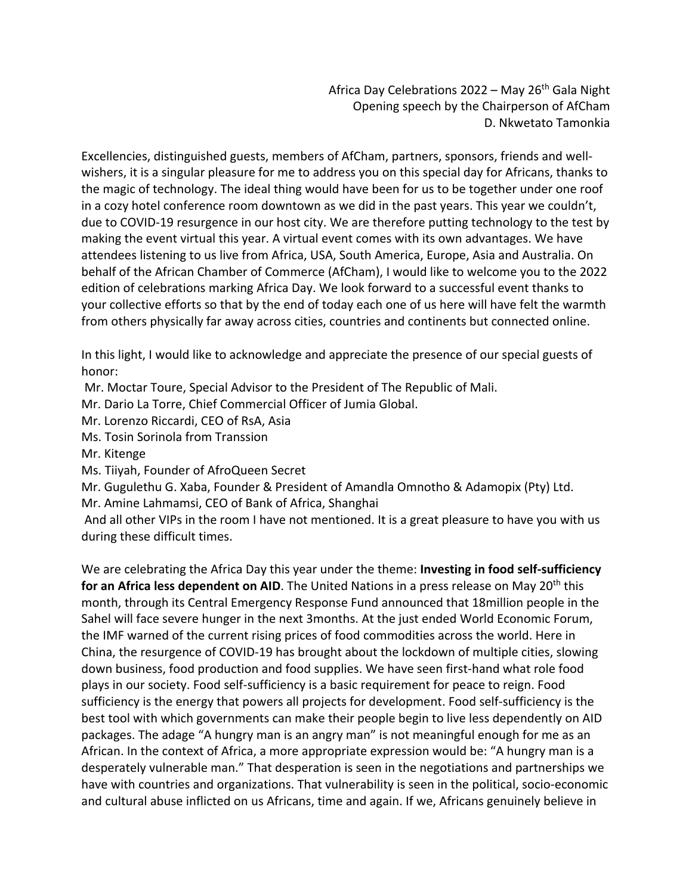Africa Day Celebrations 2022 – May 26<sup>th</sup> Gala Night Opening speech by the Chairperson of AfCham D. Nkwetato Tamonkia

Excellencies, distinguished guests, members of AfCham, partners, sponsors, friends and wellwishers, it is a singular pleasure for me to address you on this special day for Africans, thanks to the magic of technology. The ideal thing would have been for us to be together under one roof in a cozy hotel conference room downtown as we did in the past years. This year we couldn't, due to COVID-19 resurgence in our host city. We are therefore putting technology to the test by making the event virtual this year. A virtual event comes with its own advantages. We have attendees listening to us live from Africa, USA, South America, Europe, Asia and Australia. On behalf of the African Chamber of Commerce (AfCham), I would like to welcome you to the 2022 edition of celebrations marking Africa Day. We look forward to a successful event thanks to your collective efforts so that by the end of today each one of us here will have felt the warmth from others physically far away across cities, countries and continents but connected online.

In this light, I would like to acknowledge and appreciate the presence of our special guests of honor:

Mr. Moctar Toure, Special Advisor to the President of The Republic of Mali.

Mr. Dario La Torre, Chief Commercial Officer of Jumia Global.

Mr. Lorenzo Riccardi, CEO of RsA, Asia

Ms. Tosin Sorinola from Transsion

Mr. Kitenge

Ms. Tiiyah, Founder of AfroQueen Secret

Mr. Gugulethu G. Xaba, Founder & President of Amandla Omnotho & Adamopix (Pty) Ltd.

Mr. Amine Lahmamsi, CEO of Bank of Africa, Shanghai

And all other VIPs in the room I have not mentioned. It is a great pleasure to have you with us during these difficult times.

We are celebrating the Africa Day this year under the theme: **Investing in food self-sufficiency for an Africa less dependent on AID**. The United Nations in a press release on May 20<sup>th</sup> this month, through its Central Emergency Response Fund announced that 18million people in the Sahel will face severe hunger in the next 3months. At the just ended World Economic Forum, the IMF warned of the current rising prices of food commodities across the world. Here in China, the resurgence of COVID-19 has brought about the lockdown of multiple cities, slowing down business, food production and food supplies. We have seen first-hand what role food plays in our society. Food self-sufficiency is a basic requirement for peace to reign. Food sufficiency is the energy that powers all projects for development. Food self-sufficiency is the best tool with which governments can make their people begin to live less dependently on AID packages. The adage "A hungry man is an angry man" is not meaningful enough for me as an African. In the context of Africa, a more appropriate expression would be: "A hungry man is a desperately vulnerable man." That desperation is seen in the negotiations and partnerships we have with countries and organizations. That vulnerability is seen in the political, socio-economic and cultural abuse inflicted on us Africans, time and again. If we, Africans genuinely believe in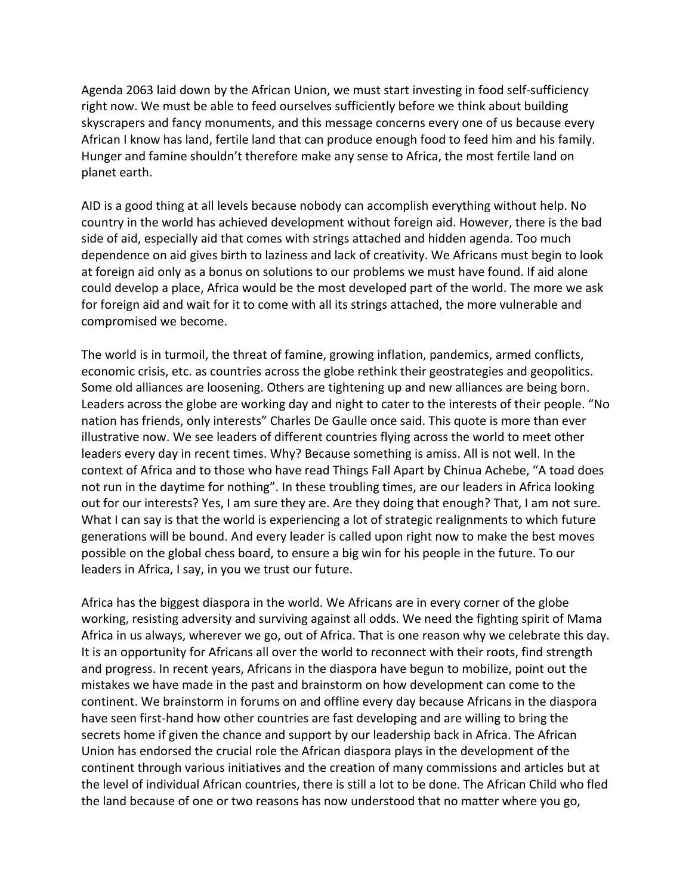Agenda 2063 laid down by the African Union, we must start investing in food self-sufficiency right now. We must be able to feed ourselves sufficiently before we think about building skyscrapers and fancy monuments, and this message concerns every one of us because every African I know has land, fertile land that can produce enough food to feed him and his family. Hunger and famine shouldn't therefore make any sense to Africa, the most fertile land on planet earth.

AID is a good thing at all levels because nobody can accomplish everything without help. No country in the world has achieved development without foreign aid. However, there is the bad side of aid, especially aid that comes with strings attached and hidden agenda. Too much dependence on aid gives birth to laziness and lack of creativity. We Africans must begin to look at foreign aid only as a bonus on solutions to our problems we must have found. If aid alone could develop a place, Africa would be the most developed part of the world. The more we ask for foreign aid and wait for it to come with all its strings attached, the more vulnerable and compromised we become.

The world is in turmoil, the threat of famine, growing inflation, pandemics, armed conflicts, economic crisis, etc. as countries across the globe rethink their geostrategies and geopolitics. Some old alliances are loosening. Others are tightening up and new alliances are being born. Leaders across the globe are working day and night to cater to the interests of their people. "No nation has friends, only interests" Charles De Gaulle once said. This quote is more than ever illustrative now. We see leaders of different countries flying across the world to meet other leaders every day in recent times. Why? Because something is amiss. All is not well. In the context of Africa and to those who have read Things Fall Apart by Chinua Achebe, "A toad does not run in the daytime for nothing". In these troubling times, are our leaders in Africa looking out for our interests? Yes, I am sure they are. Are they doing that enough? That, I am not sure. What I can say is that the world is experiencing a lot of strategic realignments to which future generations will be bound. And every leader is called upon right now to make the best moves possible on the global chess board, to ensure a big win for his people in the future. To our leaders in Africa, I say, in you we trust our future.

Africa has the biggest diaspora in the world. We Africans are in every corner of the globe working, resisting adversity and surviving against all odds. We need the fighting spirit of Mama Africa in us always, wherever we go, out of Africa. That is one reason why we celebrate this day. It is an opportunity for Africans all over the world to reconnect with their roots, find strength and progress. In recent years, Africans in the diaspora have begun to mobilize, point out the mistakes we have made in the past and brainstorm on how development can come to the continent. We brainstorm in forums on and offline every day because Africans in the diaspora have seen first-hand how other countries are fast developing and are willing to bring the secrets home if given the chance and support by our leadership back in Africa. The African Union has endorsed the crucial role the African diaspora plays in the development of the continent through various initiatives and the creation of many commissions and articles but at the level of individual African countries, there is still a lot to be done. The African Child who fled the land because of one or two reasons has now understood that no matter where you go,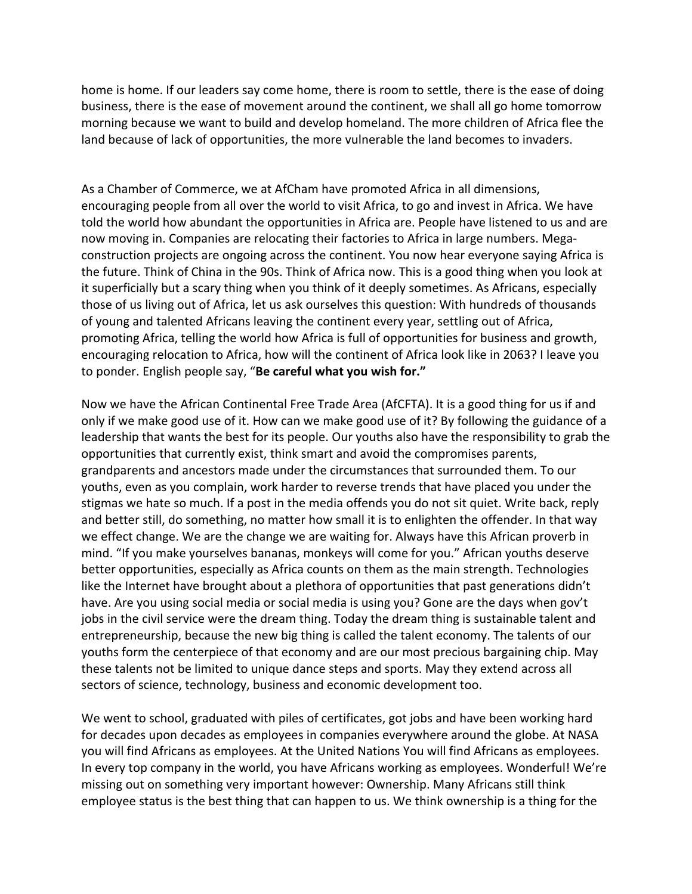home is home. If our leaders say come home, there is room to settle, there is the ease of doing business, there is the ease of movement around the continent, we shall all go home tomorrow morning because we want to build and develop homeland. The more children of Africa flee the land because of lack of opportunities, the more vulnerable the land becomes to invaders.

As a Chamber of Commerce, we at AfCham have promoted Africa in all dimensions, encouraging people from all over the world to visit Africa, to go and invest in Africa. We have told the world how abundant the opportunities in Africa are. People have listened to us and are now moving in. Companies are relocating their factories to Africa in large numbers. Megaconstruction projects are ongoing across the continent. You now hear everyone saying Africa is the future. Think of China in the 90s. Think of Africa now. This is a good thing when you look at it superficially but a scary thing when you think of it deeply sometimes. As Africans, especially those of us living out of Africa, let us ask ourselves this question: With hundreds of thousands of young and talented Africans leaving the continent every year, settling out of Africa, promoting Africa, telling the world how Africa is full of opportunities for business and growth, encouraging relocation to Africa, how will the continent of Africa look like in 2063? I leave you to ponder. English people say, "**Be careful what you wish for."**

Now we have the African Continental Free Trade Area (AfCFTA). It is a good thing for us if and only if we make good use of it. How can we make good use of it? By following the guidance of a leadership that wants the best for its people. Our youths also have the responsibility to grab the opportunities that currently exist, think smart and avoid the compromises parents, grandparents and ancestors made under the circumstances that surrounded them. To our youths, even as you complain, work harder to reverse trends that have placed you under the stigmas we hate so much. If a post in the media offends you do not sit quiet. Write back, reply and better still, do something, no matter how small it is to enlighten the offender. In that way we effect change. We are the change we are waiting for. Always have this African proverb in mind. "If you make yourselves bananas, monkeys will come for you." African youths deserve better opportunities, especially as Africa counts on them as the main strength. Technologies like the Internet have brought about a plethora of opportunities that past generations didn't have. Are you using social media or social media is using you? Gone are the days when gov't jobs in the civil service were the dream thing. Today the dream thing is sustainable talent and entrepreneurship, because the new big thing is called the talent economy. The talents of our youths form the centerpiece of that economy and are our most precious bargaining chip. May these talents not be limited to unique dance steps and sports. May they extend across all sectors of science, technology, business and economic development too.

We went to school, graduated with piles of certificates, got jobs and have been working hard for decades upon decades as employees in companies everywhere around the globe. At NASA you will find Africans as employees. At the United Nations You will find Africans as employees. In every top company in the world, you have Africans working as employees. Wonderful! We're missing out on something very important however: Ownership. Many Africans still think employee status is the best thing that can happen to us. We think ownership is a thing for the